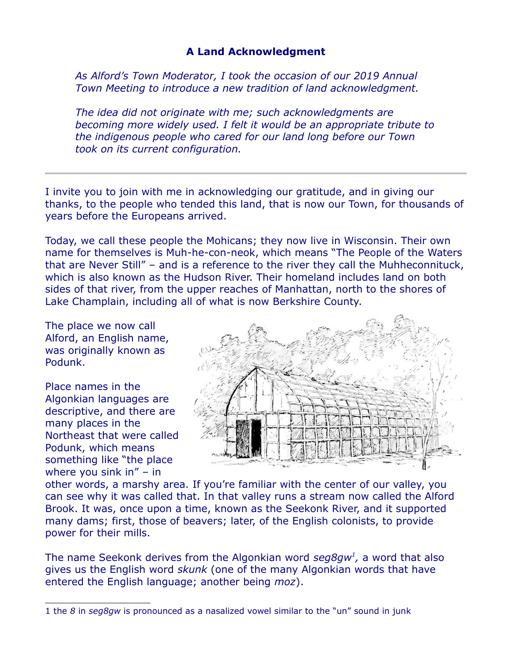## **A Land Acknowledgment**

*As Alford's Town Moderator, I took the occasion of our 2019 Annual Town Meeting to introduce a new tradition of land acknowledgment.* 

*The idea did not originate with me; such acknowledgments are becoming more widely used. I felt it would be an appropriate tribute to the indigenous people who cared for our land long before our Town took on its current configuration.*

I invite you to join with me in acknowledging our gratitude, and in giving our thanks, to the people who tended this land, that is now our Town, for thousands of years before the Europeans arrived.

Today, we call these people the Mohicans; they now live in Wisconsin. Their own name for themselves is Muh-he-con-neok, which means "The People of the Waters that are Never Still" – and is a reference to the river they call the Muhheconnituck, which is also known as the Hudson River. Their homeland includes land on both sides of that river, from the upper reaches of Manhattan, north to the shores of Lake Champlain, including all of what is now Berkshire County.

The place we now call Alford, an English name, was originally known as Podunk.

Place names in the Algonkian languages are descriptive, and there are many places in the Northeast that were called Podunk, which means something like "the place where you sink in" – in



other words, a marshy area. If you're familiar with the center of our valley, you can see why it was called that. In that valley runs a stream now called the Alford Brook. It was, once upon a time, known as the Seekonk River, and it supported many dams; first, those of beavers; later, of the English colonists, to provide power for their mills.

The name Seekonk derives from the Algonkian word *seg8gw[1](#page-0-0) ,* a word that also gives us the English word *skunk* (one of the many Algonkian words that have entered the English language; another being *moz*).

<span id="page-0-0"></span><sup>1</sup> the *8* in *seg8gw* is pronounced as a nasalized vowel similar to the "un" sound in junk